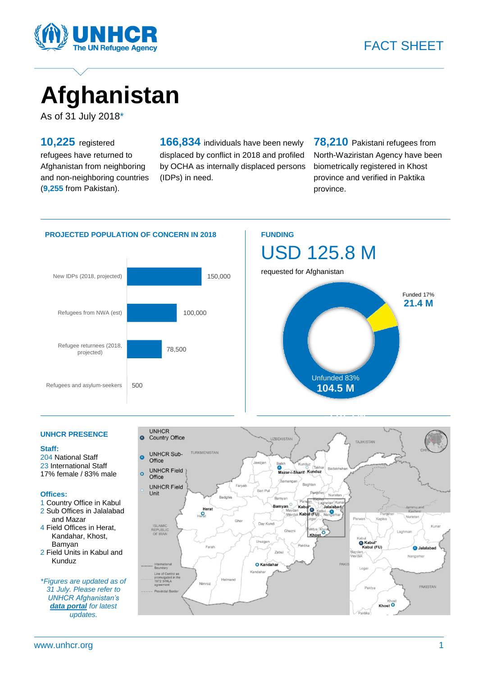

# **Afghanistan**

As of 31 July 2018\*

**10,225** registered refugees have returned to Afghanistan from neighboring and non-neighboring countries (**9,255** from Pakistan).

**166,834** individuals have been newly displaced by conflict in 2018 and profiled by OCHA as internally displaced persons (IDPs) in need.

**78,210** Pakistani refugees from North-Waziristan Agency have been biometrically registered in Khost province and verified in Paktika province.

#### **PROJECTED POPULATION OF CONCERN IN 2018 FUNDING**





#### **UNHCR PRESENCE**

#### **Staff:**

204 National Staff 23 International Staff 17% female / 83% male

#### **Offices:**

- 1 Country Office in Kabul 2 Sub Offices in Jalalabad and Mazar
- 4 Field Offices in Herat, Kandahar, Khost, Bamyan
- 2 Field Units in Kabul and Kunduz

\**Figures are updated as of 31 July. Please refer to UNHCR Afghanistan's [data portal](https://data2.unhcr.org/en/country/afg) for latest updates.*

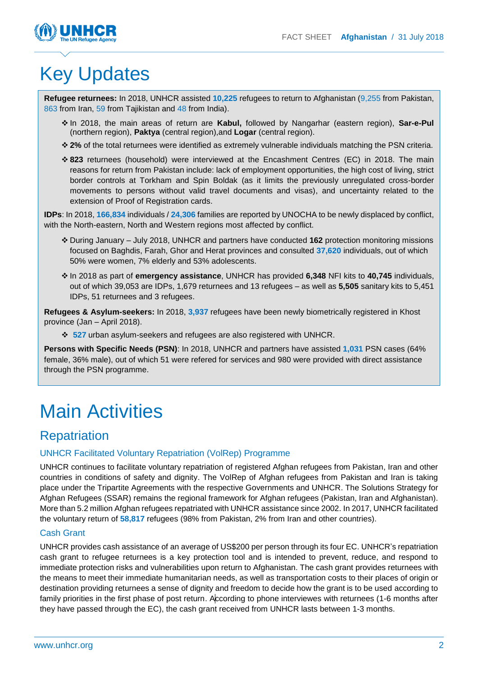

## Key Updates

**Refugee returnees:** In 2018, UNHCR assisted **10,225** refugees to return to Afghanistan (9,255 from Pakistan, 863 from Iran, 59 from Tajikistan and 48 from India).

- In 2018, the main areas of return are **Kabul,** followed by Nangarhar (eastern region), **Sar-e-Pul**  (northern region), **Paktya** (central region),and **Logar** (central region).
- **2%** of the total returnees were identified as extremely vulnerable individuals matching the PSN criteria.
- **823** returnees (household) were interviewed at the Encashment Centres (EC) in 2018. The main reasons for return from Pakistan include: lack of employment opportunities, the high cost of living, strict border controls at Torkham and Spin Boldak (as it limits the previously unregulated cross-border movements to persons without valid travel documents and visas), and uncertainty related to the extension of Proof of Registration cards.

**IDPs**: In 2018, **166,834** individuals / **24,306** families are reported by UNOCHA to be newly displaced by conflict, with the North-eastern, North and Western regions most affected by conflict.

- During January July 2018, UNHCR and partners have conducted **162** protection monitoring missions focused on Baghdis, Farah, Ghor and Herat provinces and consulted **37,620** individuals, out of which 50% were women, 7% elderly and 53% adolescents.
- In 2018 as part of **emergency assistance**, UNHCR has provided **6,348** NFI kits to **40,745** individuals, out of which 39,053 are IDPs, 1,679 returnees and 13 refugees – as well as **5,505** sanitary kits to 5,451 IDPs, 51 returnees and 3 refugees.

**Refugees & Asylum-seekers:** In 2018, **3,937** refugees have been newly biometrically registered in Khost province (Jan – April 2018).

**527** urban asylum-seekers and refugees are also registered with UNHCR.

**Persons with Specific Needs (PSN)**: In 2018, UNHCR and partners have assisted **1,031** PSN cases (64% female, 36% male), out of which 51 were refered for services and 980 were provided with direct assistance through the PSN programme.

## Main Activities

## **Repatriation**

#### UNHCR Facilitated Voluntary Repatriation (VolRep) Programme

UNHCR continues to facilitate voluntary repatriation of registered Afghan refugees from Pakistan, Iran and other countries in conditions of safety and dignity. The VolRep of Afghan refugees from Pakistan and Iran is taking place under the Tripartite Agreements with the respective Governments and UNHCR. The Solutions Strategy for Afghan Refugees (SSAR) remains the regional framework for Afghan refugees (Pakistan, Iran and Afghanistan). More than 5.2 million Afghan refugees repatriated with UNHCR assistance since 2002. In 2017, UNHCR facilitated the voluntary return of **58,817** refugees (98% from Pakistan, 2% from Iran and other countries).

#### Cash Grant

UNHCR provides cash assistance of an average of US\$200 per person through its four EC. UNHCR's repatriation cash grant to refugee returnees is a key protection tool and is intended to prevent, reduce, and respond to immediate protection risks and vulnerabilities upon return to Afghanistan. The cash grant provides returnees with the means to meet their immediate humanitarian needs, as well as transportation costs to their places of origin or destination providing returnees a sense of dignity and freedom to decide how the grant is to be used according to family priorities in the first phase of post return. According to phone interviewes with returnees (1-6 months after they have passed through the EC), the cash grant received from UNHCR lasts between 1-3 months.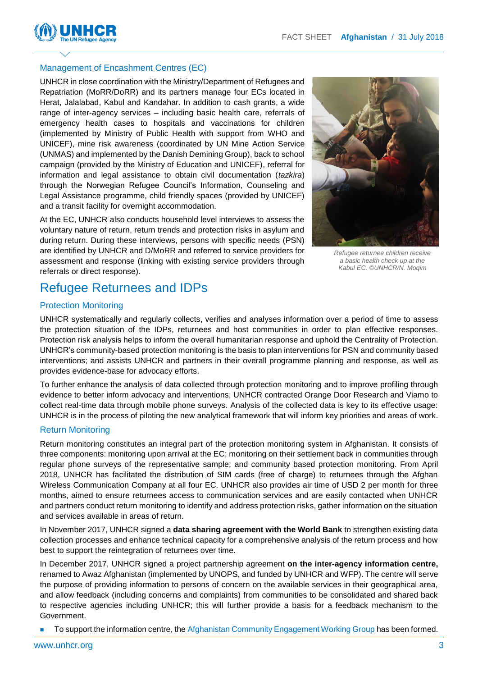

#### Management of Encashment Centres (EC)

UNHCR in close coordination with the Ministry/Department of Refugees and Repatriation (MoRR/DoRR) and its partners manage four ECs located in Herat, Jalalabad, Kabul and Kandahar. In addition to cash grants, a wide range of inter-agency services – including basic health care, referrals of emergency health cases to hospitals and vaccinations for children (implemented by Ministry of Public Health with support from WHO and UNICEF), mine risk awareness (coordinated by UN Mine Action Service (UNMAS) and implemented by the Danish Demining Group), back to school campaign (provided by the Ministry of Education and UNICEF), referral for information and legal assistance to obtain civil documentation (*tazkira*) through the Norwegian Refugee Council's Information, Counseling and Legal Assistance programme, child friendly spaces (provided by UNICEF) and a transit facility for overnight accommodation.

At the EC, UNHCR also conducts household level interviews to assess the voluntary nature of return, return trends and protection risks in asylum and during return. During these interviews, persons with specific needs (PSN) are identified by UNHCR and D/MoRR and referred to service providers for assessment and response (linking with existing service providers through referrals or direct response).



*Refugee returnee children receive a basic health check up at the Kabul EC. ©UNHCR/N. Moqim*

### Refugee Returnees and IDPs

#### Protection Monitoring

UNHCR systematically and regularly collects, verifies and analyses information over a period of time to assess the protection situation of the IDPs, returnees and host communities in order to plan effective responses. Protection risk analysis helps to inform the overall humanitarian response and uphold the Centrality of Protection. UNHCR's community-based protection monitoring is the basis to plan interventions for PSN and community based interventions; and assists UNHCR and partners in their overall programme planning and response, as well as provides evidence-base for advocacy efforts.

To further enhance the analysis of data collected through protection monitoring and to improve profiling through evidence to better inform advocacy and interventions, UNHCR contracted Orange Door Research and Viamo to collect real-time data through mobile phone surveys. Analysis of the collected data is key to its effective usage: UNHCR is in the process of piloting the new analytical framework that will inform key priorities and areas of work.

#### Return Monitoring

Return monitoring constitutes an integral part of the protection monitoring system in Afghanistan. It consists of three components: monitoring upon arrival at the EC; monitoring on their settlement back in communities through regular phone surveys of the representative sample; and community based protection monitoring. From April 2018, UNHCR has facilitated the distribution of SIM cards (free of charge) to returnees through the Afghan Wireless Communication Company at all four EC. UNHCR also provides air time of USD 2 per month for three months, aimed to ensure returnees access to communication services and are easily contacted when UNHCR and partners conduct return monitoring to identify and address protection risks, gather information on the situation and services available in areas of return.

In November 2017, UNHCR signed a **data sharing agreement with the World Bank** to strengthen existing data collection processes and enhance technical capacity for a comprehensive analysis of the return process and how best to support the reintegration of returnees over time.

In December 2017, UNHCR signed a project partnership agreement **on the inter-agency information centre,**  renamed to Awaz Afghanistan (implemented by UNOPS, and funded by UNHCR and WFP). The centre will serve the purpose of providing information to persons of concern on the available services in their geographical area, and allow feedback (including concerns and complaints) from communities to be consolidated and shared back to respective agencies including UNHCR; this will further provide a basis for a feedback mechanism to the Government.

To support the information centre, the Afghanistan Community Engagement Working Group has been formed.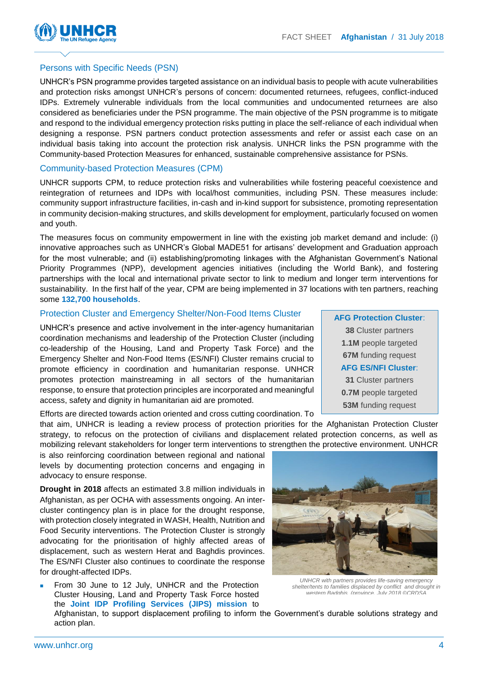

#### Persons with Specific Needs (PSN)

UNHCR's PSN programme provides targeted assistance on an individual basis to people with acute vulnerabilities and protection risks amongst UNHCR's persons of concern: documented returnees, refugees, conflict-induced IDPs. Extremely vulnerable individuals from the local communities and undocumented returnees are also considered as beneficiaries under the PSN programme. The main objective of the PSN programme is to mitigate and respond to the individual emergency protection risks putting in place the self-reliance of each individual when designing a response. PSN partners conduct protection assessments and refer or assist each case on an individual basis taking into account the protection risk analysis. UNHCR links the PSN programme with the Community-based Protection Measures for enhanced, sustainable comprehensive assistance for PSNs.

#### Community-based Protection Measures (CPM)

UNHCR supports CPM, to reduce protection risks and vulnerabilities while fostering peaceful coexistence and reintegration of returnees and IDPs with local/host communities, including PSN. These measures include: community support infrastructure facilities, in-cash and in-kind support for subsistence, promoting representation in community decision-making structures, and skills development for employment, particularly focused on women and youth.

The measures focus on community empowerment in line with the existing job market demand and include: (i) innovative approaches such as UNHCR's Global MADE51 for artisans' development and Graduation approach for the most vulnerable; and (ii) establishing/promoting linkages with the Afghanistan Government's National Priority Programmes (NPP), development agencies initiatives (including the World Bank), and fostering partnerships with the local and international private sector to link to medium and longer term interventions for sustainability. In the first half of the year, CPM are being implemented in 37 locations with ten partners, reaching some **132,700 households**.

#### Protection Cluster and Emergency Shelter/Non-Food Items Cluster

UNHCR's presence and active involvement in the inter-agency humanitarian coordination mechanisms and leadership of the Protection Cluster (including co-leadership of the Housing, Land and Property Task Force) and the Emergency Shelter and Non-Food Items (ES/NFI) Cluster remains crucial to promote efficiency in coordination and humanitarian response. UNHCR promotes protection mainstreaming in all sectors of the humanitarian response, to ensure that protection principles are incorporated and meaningful access, safety and dignity in humanitarian aid are promoted.

Efforts are directed towards action oriented and cross cutting coordination. To

that aim, UNHCR is leading a review process of protection priorities for the Afghanistan Protection Cluster strategy, to refocus on the protection of civilians and displacement related protection concerns, as well as mobilizing relevant stakeholders for longer term interventions to strengthen the protective environment. UNHCR

is also reinforcing coordination between regional and national levels by documenting protection concerns and engaging in advocacy to ensure response.

**Drought in 2018** affects an estimated 3.8 million individuals in Afghanistan, as per OCHA with assessments ongoing. An intercluster contingency plan is in place for the drought response, with protection closely integrated in WASH, Health, Nutrition and Food Security interventions. The Protection Cluster is strongly advocating for the prioritisation of highly affected areas of displacement, such as western Herat and Baghdis provinces. The ES/NFI Cluster also continues to coordinate the response for drought-affected IDPs.

 From 30 June to 12 July, UNHCR and the Protection Cluster Housing, Land and Property Task Force hosted the **Joint IDP Profiling Services (JIPS) mission** to





*UNHCR with partners provides life-saving emergency shelter/tents to families displaced by conflict and drought in western Badghis (province. July 2018 ©CRDSA*

Afghanistan, to support displacement profiling to inform the Government's durable solutions strategy and action plan.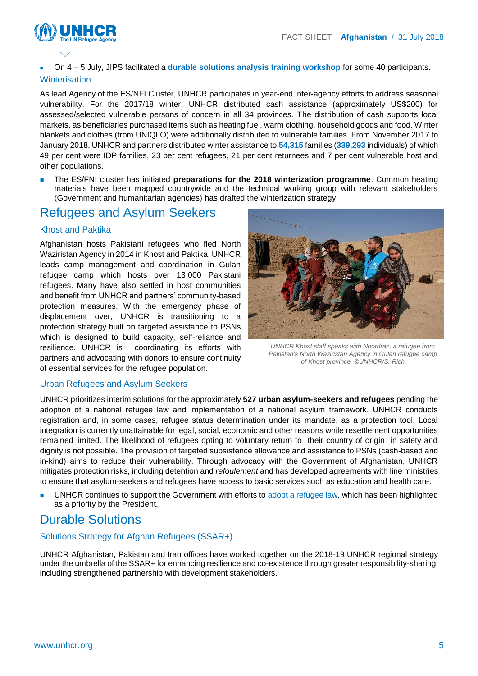



On 4 – 5 July, JIPS facilitated a **durable solutions analysis training workshop** for some 40 participants.

#### **Winterisation**

As lead Agency of the ES/NFI Cluster, UNHCR participates in year-end inter-agency efforts to address seasonal vulnerability. For the 2017/18 winter, UNHCR distributed cash assistance (approximately US\$200) for assessed/selected vulnerable persons of concern in all 34 provinces. The distribution of cash supports local markets, as beneficiaries purchased items such as heating fuel, warm clothing, household goods and food. Winter blankets and clothes (from UNIQLO) were additionally distributed to vulnerable families. From November 2017 to January 2018, UNHCR and partners distributed winter assistance to **54,315** families (**339,293** individuals) of which 49 per cent were IDP families, 23 per cent refugees, 21 per cent returnees and 7 per cent vulnerable host and other populations.

 The ES/FNI cluster has initiated **preparations for the 2018 winterization programme**. Common heating materials have been mapped countrywide and the technical working group with relevant stakeholders (Government and humanitarian agencies) has drafted the winterization strategy.

## Refugees and Asylum Seekers

#### Khost and Paktika

Afghanistan hosts Pakistani refugees who fled North Waziristan Agency in 2014 in Khost and Paktika. UNHCR leads camp management and coordination in Gulan refugee camp which hosts over 13,000 Pakistani refugees. Many have also settled in host communities and benefit from UNHCR and partners' community-based protection measures. With the emergency phase of displacement over, UNHCR is transitioning to a protection strategy built on targeted assistance to PSNs which is designed to build capacity, self-reliance and resilience. UNHCR is coordinating its efforts with partners and advocating with donors to ensure continuity of essential services for the refugee population.



*UNHCR Khost staff speaks with Noordraz, a refugee from Pakistan's North Waziristan Agency in Gulan refugee camp of Khost province. ©UNHCR/S. Rich*

#### Urban Refugees and Asylum Seekers

UNHCR prioritizes interim solutions for the approximately **527 urban asylum-seekers and refugees** pending the adoption of a national refugee law and implementation of a national asylum framework. UNHCR conducts registration and, in some cases, refugee status determination under its mandate, as a protection tool. Local integration is currently unattainable for legal, social, economic and other reasons while resettlement opportunities remained limited. The likelihood of refugees opting to voluntary return to their country of origin in safety and dignity is not possible. The provision of targeted subsistence allowance and assistance to PSNs (cash-based and in-kind) aims to reduce their vulnerability. Through advocacy with the Government of Afghanistan, UNHCR mitigates protection risks, including detention and *refoulement* and has developed agreements with line ministries to ensure that asylum-seekers and refugees have access to basic services such as education and health care.

 UNHCR continues to support the Government with efforts to adopt a refugee law, which has been highlighted as a priority by the President.

### Durable Solutions

#### Solutions Strategy for Afghan Refugees (SSAR+)

UNHCR Afghanistan, Pakistan and Iran offices have worked together on the 2018-19 UNHCR regional strategy under the umbrella of the SSAR+ for enhancing resilience and co-existence through greater responsibility-sharing, including strengthened partnership with development stakeholders.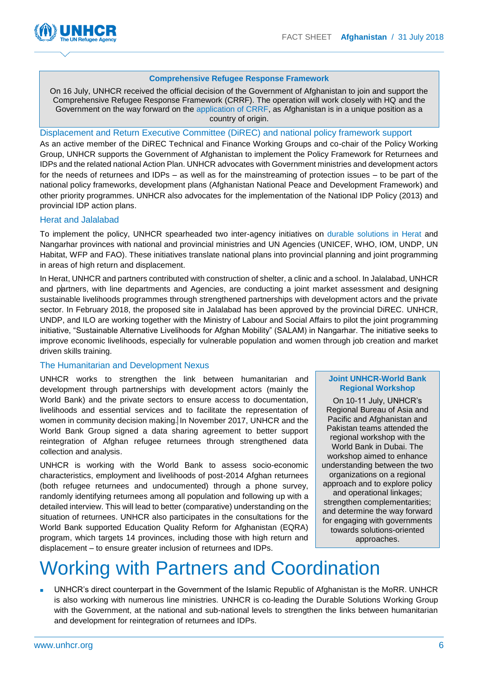

#### **Comprehensive Refugee Response Framework**

On 16 July, UNHCR received the official decision of the Government of Afghanistan to join and support the Comprehensive Refugee Response Framework (CRRF). The operation will work closely with HQ and the Government on the way forward on the application of CRRF, as Afghanistan is in a unique position as a country of origin.

#### Displacement and Return Executive Committee (DiREC) and national policy framework support

As an active member of the DiREC Technical and Finance Working Groups and co-chair of the Policy Working Group, UNHCR supports the Government of Afghanistan to implement the Policy Framework for Returnees and IDPs and the related national Action Plan. UNHCR advocates with Government ministries and development actors for the needs of returnees and IDPs – as well as for the mainstreaming of protection issues – to be part of the national policy frameworks, development plans (Afghanistan National Peace and Development Framework) and other priority programmes. UNHCR also advocates for the implementation of the [National IDP Policy \(2013\)](http://morr.gov.af/Content/files/National%20IDP%20Policy%20-%20FINAL%20-%20English(1).pdf) and provincial IDP action plans.

#### Herat and Jalalabad

To implement the policy, UNHCR spearheaded two inter-agency initiatives on [durable solutions in Herat](http://www.globalprotectioncluster.org/_assets/files/field_protection_clusters/Afghanistan/files/HLP%20AoR/inter_agency_durable_solutions_report_herat_october_2016_en.pdf) and Nangarhar provinces with national and provincial ministries and UN Agencies (UNICEF, WHO, IOM, UNDP, UN Habitat, WFP and FAO). These initiatives translate national plans into provincial planning and joint programming in areas of high return and displacement.

In Herat, UNHCR and partners contributed with construction of shelter, a clinic and a school. In Jalalabad, UNHCR and partners, with line departments and Agencies, are conducting a joint market assessment and designing sustainable livelihoods programmes through strengthened partnerships with development actors and the private sector. In February 2018, the proposed site in Jalalabad has been approved by the provincial DiREC. UNHCR, UNDP, and ILO are working together with the Ministry of Labour and Social Affairs to pilot the joint programming initiative, "Sustainable Alternative Livelihoods for Afghan Mobility" (SALAM) in Nangarhar. The initiative seeks to improve economic livelihoods, especially for vulnerable population and women through job creation and market driven skills training.

#### The Humanitarian and Development Nexus

UNHCR works to strengthen the link between humanitarian and development through partnerships with development actors (mainly the World Bank) and the private sectors to ensure access to documentation, livelihoods and essential services and to facilitate the representation of women in community decision making. In November 2017, UNHCR and the World Bank Group signed a data sharing agreement to better support reintegration of Afghan refugee returnees through strengthened data collection and analysis.

UNHCR is working with the World Bank to assess socio-economic characteristics, employment and livelihoods of post-2014 Afghan returnees (both refugee returnees and undocumented) through a phone survey, randomly identifying returnees among all population and following up with a detailed interview. This will lead to better (comparative) understanding on the situation of returnees. UNHCR also participates in the consultations for the World Bank supported Education Quality Reform for Afghanistan (EQRA) program, which targets 14 provinces, including those with high return and displacement – to ensure greater inclusion of returnees and IDPs.

#### **Joint UNHCR-World Bank Regional Workshop**

On 10-11 July, UNHCR's Regional Bureau of Asia and Pacific and Afghanistan and Pakistan teams attended the regional workshop with the World Bank in Dubai. The workshop aimed to enhance understanding between the two organizations on a regional approach and to explore policy and operational linkages; strengthen complementarities; and determine the way forward for engaging with governments towards solutions-oriented approaches.

## Working with Partners and Coordination

 UNHCR's direct counterpart in the Government of the Islamic Republic of Afghanistan is the MoRR. UNHCR is also working with numerous line ministries. UNHCR is co-leading the Durable Solutions Working Group with the Government, at the national and sub-national levels to strengthen the links between humanitarian and development for reintegration of returnees and IDPs.